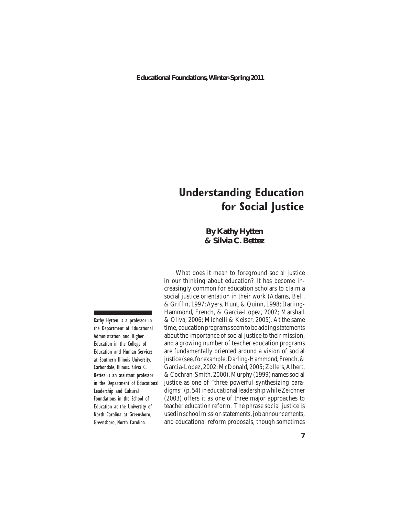**By Kathy Hytten & Silvia C. Bettez**

Kathy Hytten is a professor in the Department of Educational Administration and Higher Education in the College of Education and Human Services at Southern Illinois University, Carbondale, Illinois. Silvia C. Bettez is an assistant professor in the Department of Educational Leadership and Cultural Foundations in the School of Education at the University of North Carolina at Greensboro, Greensboro, North Carolina.

What does it mean to foreground social justice in our thinking about education? It has become increasingly common for education scholars to claim a social justice orientation in their work (Adams, Bell, & Griffin, 1997;Ayers, Hunt, & Quinn, 1998; Darling-Hammond, French, & Garcia-Lopez, 2002; Marshall & Oliva, 2006; Michelli & Keiser, 2005). At the same time, education programs seem to be adding statements about the importance of social justice to their mission, and a growing number of teacher education programs are fundamentally oriented around a vision of social justice (see, for example, Darling-Hammond, French, & Garcia-Lopez, 2002; McDonald, 2005; Zollers, Albert, &Cochran-Smith, 2000).Murphy (1999) namessocial justice as one of "three powerful synthesizing paradigms" (p. 54) in educational leadership while Zeichner (2003) offers it as one of three major approaches to teacher education reform. The phrase social justice is used in school mission statements, job announcements, and educational reform proposals, though sometimes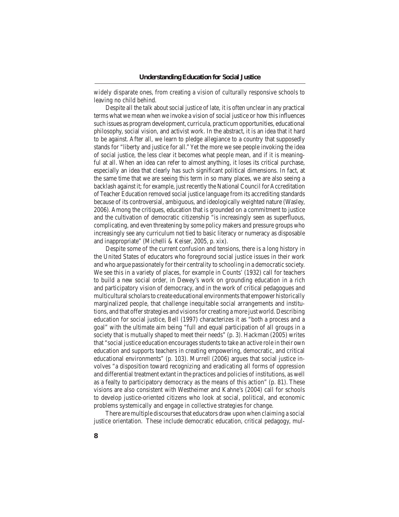widely disparate ones, from creating a vision of culturally responsive schools to leaving no child behind.

Despite all the talk about social justice of late, it is often unclear in any practical terms what we mean when we invoke a vision of social justice or how this influences such issues as program development, curricula, practicum opportunities, educational philosophy, social vision, and activist work. In the abstract, it is an idea that it hard to be against. After all, we learn to pledge allegiance to a country that supposedly stands for "liberty and justice for all."Yet the more we see people invoking the idea of social justice, the less clear it becomes what people mean, and if it is meaningful at all. When an idea can refer to almost anything, it loses its critical purchase, especially an idea that clearly has such significant political dimensions. In fact, at the same time that we are seeing this term in so many places, we are also seeing a backlash against it; for example, just recently the National Council for Accreditation ofTeacher Education removed social justice language from its accrediting standards because of its controversial, ambiguous, and ideologically weighted nature (Wasley, 2006). Among the critiques, education that is grounded on a commitment to justice and the cultivation of democratic citizenship "is increasingly seen as superfluous, complicating, and even threatening by some policy makers and pressure groups who increasingly see any curriculum not tied to basic literacy or numeracy as disposable and inappropriate" (Michelli & Keiser, 2005, p. xix).

 Despite some of the current confusion and tensions, there is a long history in the United States of educators who foreground social justice issues in their work and who argue passionately for their centrality to schooling in a democratic society. We see this in a variety of places, for example in Counts' (1932) call for teachers to build a new social order, in Dewey's work on grounding education in a rich and participatory vision of democracy, and in the work of critical pedagogues and multicultural scholars to create educational environments that empower historically marginalized people, that challenge inequitable social arrangements and institutions, and that offer strategies and visions for creating a more just world. Describing education for social justice, Bell (1997) characterizes it as "both a process and a goal" with the ultimate aim being "full and equal participation of all groups in a society that is mutually shaped to meet their needs" (p. 3). Hackman (2005) writes that "social justice education encourages students to take an active role in their own education and supports teachers in creating empowering, democratic, and critical educational environments" (p. 103). Murrell (2006) argues that social justice involves "a disposition toward recognizing and eradicating all forms of oppression and differential treatment extant in the practices and policies of institutions, as well as a fealty to participatory democracy as the means of this action" (p. 81). These visions are also consistent with Westheimer and Kahne's (2004) call for schools to develop justice-oriented citizens who look at social, political, and economic problems systemically and engage in collective strategies for change.

There are multiple discourses that educators draw upon when claiming a social justice orientation. These include democratic education, critical pedagogy, mul-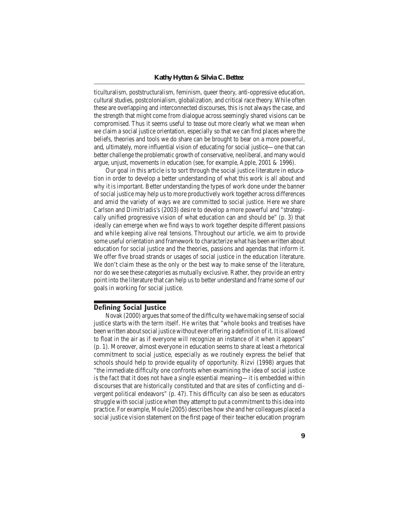ticulturalism, poststructuralism, feminism, queer theory, anti-oppressive education, cultural studies, postcolonialism, globalization, and critical race theory. While often these are overlapping and interconnected discourses, this is not always the case, and the strength that might come from dialogue across seemingly shared visions can be compromised. Thus it seems useful to tease out more clearly what we mean when we claim a social justice orientation, especially so that we can find places where the beliefs, theories and tools we do share can be brought to bear on a more powerful, and, ultimately, more influential vision of educating for social justice—one that can better challenge the problematic growth of conservative, neoliberal, and many would argue, unjust, movements in education (see, for example, Apple, 2001 & 1996).

 Our goal in this article is to sort through the social justice literature in education in order to develop a better understanding of what this work is all about and why it is important. Better understanding the types of work done under the banner ofsocial justice may help usto more productively work together across differences and amid the variety of ways we are committed to social justice. Here we share Carlson and Dimitriadis's (2003) desire to develop a more powerful and "strategically unified progressive vision of what education can and should be" (p. 3) that ideally can emerge when we find ways to work together despite different passions and while keeping alive real tensions. Throughout our article, we aim to provide some useful orientation and framework to characterize what has been written about education for social justice and the theories, passions and agendas that inform it. We offer five broad strands or usages of social justice in the education literature. We don't claim these as the only or the best way to make sense of the literature, nor do we see these categories as mutually exclusive. Rather, they provide an entry point into the literature that can help us to better understand and frame some of our goals in working for social justice.

# **Defining Social Justice**

Novak (2000) argues that some of the difficulty we have making sense of social justice starts with the term itself. He writes that "whole books and treatises have been written about social justice without ever offering a definition of it. It is allowed to float in the air as if everyone will recognize an instance of it when it appears" (p. 1). Moreover, almost everyone in education seems to share at least a rhetorical commitment to social justice, especially as we routinely express the belief that schools should help to provide equality of opportunity. Rizvi (1998) argues that "the immediate difficulty one confronts when examining the idea of social justice is the fact that it does not have a single essential meaning—it is embedded within discourses that are historically constituted and that are sites of conflicting and divergent political endeavors" (p. 47). This difficulty can also be seen as educators struggle with social justice when they attempt to put a commitment to thisidea into practice. For example, Moule (2005) describes how she and her colleagues placed a social justice vision statement on the first page of their teacher education program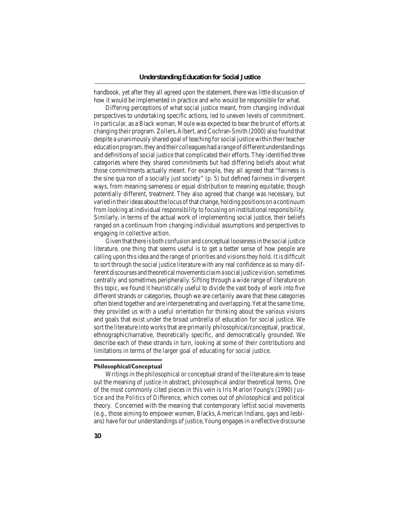handbook, yet after they all agreed upon the statement, there was little discussion of how it would be implemented in practice and who would be responsible for what.

 Differing perceptions of what social justice meant, from changing individual perspectives to undertaking specific actions, led to uneven levels of commitment. In particular, as a Black woman, Moule was expected to bear the brunt of efforts at changing their program. Zollers,Albert, and Cochran-Smith (2000) also found that despite a unanimously shared goal of teaching forsocial justice within their teacher education program, they and their colleagues had a range of different understandings and definitions of social justice that complicated their efforts. They identified three categories where they shared commitments but had differing beliefs about what those commitments actually meant. For example, they all agreed that "fairness is the sine qua non of a socially just society" (p. 5) but defined fairness in divergent ways, from meaning sameness or equal distribution to meaning equitable, though potentially different, treatment. They also agreed that change was necessary, but varied in theirideas aboutthe locus ofthat change, holding positions on a continuum from looking at individual responsibility to focusing on institutional responsibility. Similarly, in terms of the actual work of implementing social justice, their beliefs ranged on a continuum from changing individual assumptions and perspectives to engaging in collective action.

 Given that there is both confusion and conceptual loosenessin the social justice literature, one thing that seems useful is to get a better sense of how people are calling upon thisidea and the range of priorities and visionsthey hold. It is difficult to sort through the social justice literature with any real confidence as so many different discourses and theoretical movements claim a social justice vision, sometimes centrally and sometimes peripherally. Sifting through a wide range of literature on this topic, we found it heuristically useful to divide the vast body of work into five different strands or categories, though we are certainly aware that these categories often blend together and are interpenetrating and overlapping.Yet at the same time, they provided us with a useful orientation for thinking about the various visions and goals that exist under the broad umbrella of education for social justice. We sort the literature into works that are primarily philosophical/conceptual, practical, ethnographic/narrative, theoretically specific, and democratically grounded. We describe each of these strands in turn, looking at some of their contributions and limitations in terms of the larger goal of educating for social justice.

## **Philosophical/Conceptual**

Writings in the philosophical or conceptual strand of the literature aim to tease out the meaning of justice in abstract, philosophical and/or theoretical terms. One of the most commonly cited pieces in this vein is Iris Marion Young's (1990) *Justice and the Politics of Difference*, which comes out of philosophical and political theory. Concerned with the meaning that contemporary leftist social movements (e.g., those aiming to empower women, Blacks, American Indians, gays and lesbians) have for our understandings of justice, Young engages in a reflective discourse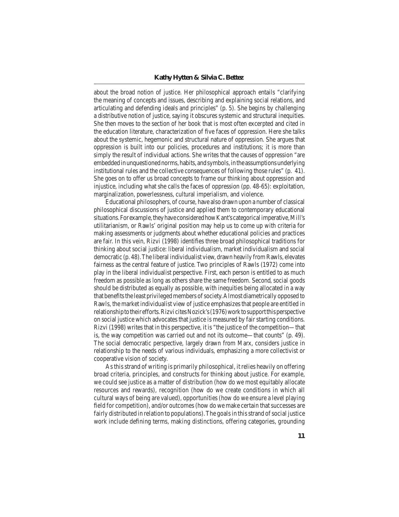about the broad notion of justice. Her philosophical approach entails "clarifying the meaning of concepts and issues, describing and explaining social relations, and articulating and defending ideals and principles" (p. 5). She begins by challenging a distributive notion of justice, saying it obscures systemic and structural inequities. She then moves to the section of her book that is most often excerpted and cited in the education literature, characterization of five faces of oppression. Here she talks about the systemic, hegemonic and structural nature of oppression. She argues that oppression is built into our policies, procedures and institutions; it is more than simply the result of individual actions. She writes that the causes of oppression "are embeddedinunquestionednorms,habits,andsymbols,intheassumptionsunderlying institutional rules and the collective consequences of following those rules" (p. 41). She goes on to offer us broad concepts to frame our thinking about oppression and injustice, including what she calls the faces of oppression (pp. 48-65): exploitation, marginalization, powerlessness, cultural imperialism, and violence.

 Educational philosophers, of course, have also drawn upon a number of classical philosophical discussions of justice and applied them to contemporary educational situations. For example, they have considered how Kant's categorical imperative, Mill's utilitarianism, or Rawls' original position may help us to come up with criteria for making assessments or judgments about whether educational policies and practices are fair. In this vein, Rizvi (1998) identifies three broad philosophical traditions for thinking about social justice: liberal individualism, market individualism and social democratic (p. 48).The liberal individualist view, drawn heavily fromRawls, elevates fairness as the central feature of justice. Two principles of Rawls (1972) come into play in the liberal individualist perspective. First, each person is entitled to as much freedom as possible as long as others share the same freedom. Second, social goods should be distributed as equally as possible, with inequities being allocated in a way that benefits the least privileged members of society. Almost diametrically opposed to Rawls, the market individualist view of justice emphasizesthat people are entitled in relationshiptotheirefforts.RizvicitesNozick's(1976)worktosupportthisperspective on social justice which advocates that justice is measured by fair starting conditions. Rizvi (1998) writes that in this perspective, it is "the justice of the competition—that is, the way competition was carried out and not its outcome—that counts" (p. 49). The social democratic perspective, largely drawn from Marx, considers justice in relationship to the needs of various individuals, emphasizing a more collectivist or cooperative vision of society.

 Asthisstrand of writing is primarily philosophical, it relies heavily on offering broad criteria, principles, and constructs for thinking about justice. For example, we could see justice as a matter of distribution (how do we most equitably allocate resources and rewards), recognition (how do we create conditions in which all cultural ways of being are valued), opportunities(how do we ensure a level playing field for competition), and/or outcomes (how do we make certain that successes are fairly distributed in relation to populations). The goals in this strand of social justice work include defining terms, making distinctions, offering categories, grounding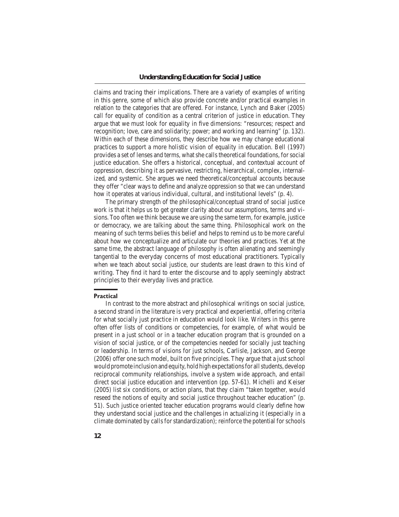claims and tracing their implications. There are a variety of examples of writing in this genre, some of which also provide concrete and/or practical examples in relation to the categories that are offered. For instance, Lynch and Baker (2005) call for equality of condition as a central criterion of justice in education. They argue that we must look for equality in five dimensions: "resources; respect and recognition; love, care and solidarity; power; and working and learning" (p. 132). Within each of these dimensions, they describe how we may change educational practices to support a more holistic vision of equality in education. Bell (1997) provides a set of lenses and terms, whatshe callstheoretical foundations, forsocial justice education. She offers a historical, conceptual, and contextual account of oppression, describing it as pervasive, restricting, hierarchical, complex, internalized, and systemic. She argues we need theoretical/conceptual accounts because they offer "clear ways to define and analyze oppression so that we can understand how it operates at various individual, cultural, and institutional levels" (p. 4).

 The primary strength of the philosophical/conceptual strand of social justice work is that it helps us to get greater clarity about our assumptions, terms and visions. Too often we think because we are using the same term, for example, justice or democracy, we are talking about the same thing. Philosophical work on the meaning of such terms belies this belief and helps to remind us to be more careful about how we conceptualize and articulate our theories and practices. Yet at the same time, the abstract language of philosophy is often alienating and seemingly tangential to the everyday concerns of most educational practitioners. Typically when we teach about social justice, our students are least drawn to this kind of writing. They find it hard to enter the discourse and to apply seemingly abstract principles to their everyday lives and practice.

#### **Practical**

In contrast to the more abstract and philosophical writings on social justice, a second strand in the literature is very practical and experiential, offering criteria for what socially just practice in education would look like. Writers in this genre often offer lists of conditions or competencies, for example, of what would be present in a just school or in a teacher education program that is grounded on a vision of social justice, or of the competencies needed for socially just teaching or leadership. In terms of visions for just schools, Carlisle, Jackson, and George (2006) offer one such model, built on five principles. They argue that a just school would promote inclusion and equity, hold high expectations for all students, develop reciprocal community relationships, involve a system wide approach, and entail direct social justice education and intervention (pp. 57-61). Michelli and Keiser (2005) list six conditions, or action plans, that they claim "taken together, would reseed the notions of equity and social justice throughout teacher education" (p. 51). Such justice oriented teacher education programs would clearly define how they understand social justice and the challenges in actualizing it (especially in a climate dominated by calls for standardization); reinforce the potential for schools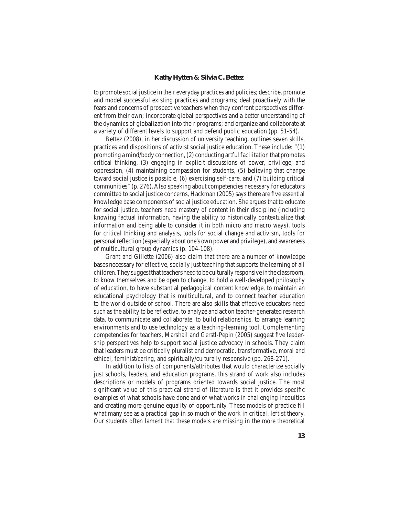to promote social justice in their everyday practices and policies; describe, promote and model successful existing practices and programs; deal proactively with the fears and concerns of prospective teachers when they confront perspectives different from their own; incorporate global perspectives and a better understanding of the dynamics of globalization into their programs; and organize and collaborate at a variety of different levels to support and defend public education (pp. 51-54).

 Bettez (2008), in her discussion of university teaching, outlines seven skills, practices and dispositions of activist social justice education. These include: "(1) promoting a mind/body connection,(2) conducting artfulfacilitation that promotes critical thinking, (3) engaging in explicit discussions of power, privilege, and oppression, (4) maintaining compassion for students, (5) believing that change toward social justice is possible, (6) exercising self-care, and (7) building critical communities" (p. 276).Also speaking about competencies necessary for educators committed to social justice concerns, Hackman (2005) says there are five essential knowledge base components of social justice education. She argues that to educate for social justice, teachers need mastery of content in their discipline (including knowing factual information, having the ability to historically contextualize that information and being able to consider it in both micro and macro ways), tools for critical thinking and analysis, tools for social change and activism, tools for personal reflection (especially about one's own power and privilege), and awareness of multicultural group dynamics (p. 104-108).

 Grant and Gillette (2006) also claim that there are a number of knowledge bases necessary for effective, socially just teaching that supports the learning of all children. They suggest that teachers need to be culturally responsive in the classroom, to know themselves and be open to change, to hold a well-developed philosophy of education, to have substantial pedagogical content knowledge, to maintain an educational psychology that is multicultural, and to connect teacher education to the world outside of school. There are also skills that effective educators need such asthe ability to be reflective, to analyze and act on teacher-generated research data, to communicate and collaborate, to build relationships, to arrange learning environments and to use technology as a teaching-learning tool. Complementing competencies for teachers, Marshall and Gerstl-Pepin (2005) suggest five leadership perspectives help to support social justice advocacy in schools. They claim that leaders must be critically pluralist and democratic, transformative, moral and ethical, feminist/caring, and spiritually/culturally responsive (pp. 268-271).

 In addition to lists of components/attributes that would characterize socially just schools, leaders, and education programs, this strand of work also includes descriptions or models of programs oriented towards social justice. The most significant value of this practical strand of literature is that it provides specific examples of what schools have done and of what works in challenging inequities and creating more genuine equality of opportunity. These models of practice fill what many see as a practical gap in so much of the work in critical, leftist theory. Our students often lament that these models are missing in the more theoretical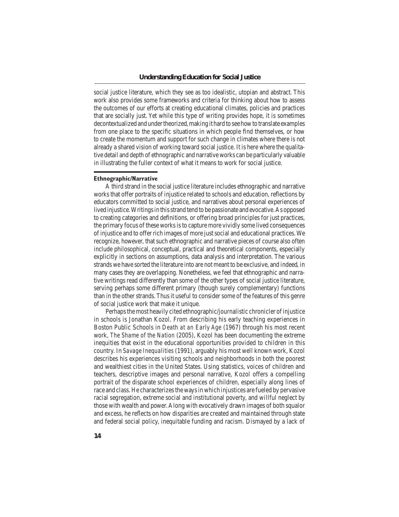social justice literature, which they see as too idealistic, utopian and abstract. This work also provides some frameworks and criteria for thinking about how to assess the outcomes of our efforts at creating educational climates, policies and practices that are socially just. Yet while this type of writing provides hope, it is sometimes decontextualized and undertheorized,making it hard to see howto translate examples from one place to the specific situations in which people find themselves, or how to create the momentum and support for such change in climates where there is not already a shared vision of working toward social justice. It is here where the qualitative detail and depth of ethnographic and narrative works can be particularly valuable in illustrating the fuller context of what it means to work for social justice.

#### **Ethnographic/Narrative**

A third strand in the social justice literature includes ethnographic and narrative works that offer portraits of injustice related to schools and education, reflections by educators committed to social justice, and narratives about personal experiences of lived injustice.Writingsin thisstrand tend to be passionate and evocative.As opposed to creating categories and definitions, or offering broad principles for just practices, the primary focus of these worksisto capture more vividly some lived consequences of injustice and to offer rich images of more justsocial and educational practices.We recognize, however, that such ethnographic and narrative pieces of course also often include philosophical, conceptual, practical and theoretical components, especially explicitly in sections on assumptions, data analysis and interpretation. The various strands we have sorted the literature into are not meant to be exclusive, and indeed, in many cases they are overlapping. Nonetheless, we feel that ethnographic and narrative writings read differently than some of the other types of social justice literature, serving perhaps some different primary (though surely complementary) functions than in the other strands.Thus it useful to consider some of the features of this genre of social justice work that make it unique.

Perhaps the most heavily cited ethnographic/journalistic chronicler of injustice in schools is Jonathan Kozol. From describing his early teaching experiences in Boston Public Schools in *Death at an Early Age* (1967) through his most recent work, *The Shame of the Nation* (2005), Kozol has been documenting the extreme inequities that exist in the educational opportunities provided to children in this country. In *Savage Inequalities* (1991), arguably his most well known work, Kozol describes his experiences visiting schools and neighborhoods in both the poorest and wealthiest cities in the United States. Using statistics, voices of children and teachers, descriptive images and personal narrative, Kozol offers a compelling portrait of the disparate school experiences of children, especially along lines of race and class. He characterizes the ways in which injustices are fueled by pervasive racial segregation, extreme social and institutional poverty, and willful neglect by those with wealth and power.Along with evocatively drawn images of both squalor and excess, he reflects on how disparities are created and maintained through state and federal social policy, inequitable funding and racism. Dismayed by a lack of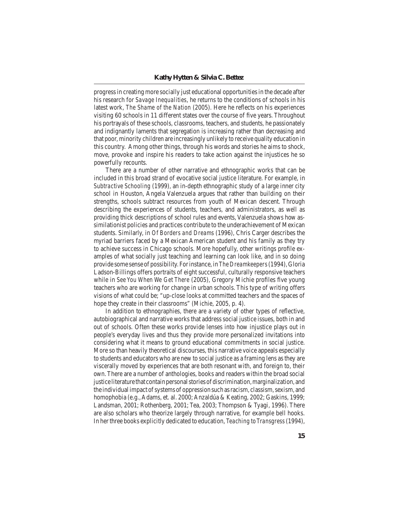progress in creating more socially just educational opportunities in the decade after his research for *Savage Inequalities*, he returns to the conditions of schools in his latest work, *The Shame of the Nation* (2005). Here he reflects on his experiences visiting 60 schools in 11 different states over the course of five years. Throughout his portrayals of these schools, classrooms, teachers, and students, he passionately and indignantly laments that segregation is increasing rather than decreasing and that poor, minority children are increasingly unlikely to receive quality education in this country. Among other things, through his words and stories he aims to shock, move, provoke and inspire his readers to take action against the injustices he so powerfully recounts.

 There are a number of other narrative and ethnographic works that can be included in this broad strand of evocative social justice literature. For example, in *Subtractive Schooling* (1999)*,* an in-depth ethnographic study of a large inner city school in Houston, Angela Valenzuela argues that rather than building on their strengths, schools subtract resources from youth of Mexican descent. Through describing the experiences of students, teachers, and administrators, as well as providing thick descriptions of school rules and events, Valenzuela shows how assimilationist policies and practices contribute to the underachievement of Mexican students. Similarly, in *Of Borders and Dreams* (1996), Chris Carger describes the myriad barriers faced by a Mexican American student and his family as they try to achieve success in Chicago schools. More hopefully, other writings profile examples of what socially just teaching and learning can look like, and in so doing provide some sense of possibility. Forinstance, in *The Dreamkeepers* (1994),Gloria Ladson-Billings offers portraits of eight successful, culturally responsive teachers while in *See You When We Get There* (2005), Gregory Michie profiles five young teachers who are working for change in urban schools. This type of writing offers visions of what could be; "up-close looks at committed teachers and the spaces of hope they create in their classrooms" (Michie, 2005, p. 4).

 In addition to ethnographies, there are a variety of other types of reflective, autobiographical and narrative works that address social justice issues, both in and out of schools. Often these works provide lenses into how injustice plays out in people's everyday lives and thus they provide more personalized invitations into considering what it means to ground educational commitments in social justice. More so than heavily theoretical discourses, this narrative voice appeals especially to students and educators who are new to social justice as a framing lens asthey are viscerally moved by experiences that are both resonant with, and foreign to, their own. There are a number of anthologies, books and readers within the broad social justice literature that containpersonalstoriesofdiscrimination,marginalization, and the individual impact of systems of oppression such as racism, classism, sexism, and homophobia (e.g., Adams, et. al. 2000; Anzaldúa & Keating, 2002; Gaskins, 1999; Landsman, 2001; Rothenberg, 2001; Tea, 2003; Thompson & Tyagi, 1996). There are also scholars who theorize largely through narrative, for example bell hooks. In her three books explicitly dedicated to education, *Teaching to Transgress*(1994),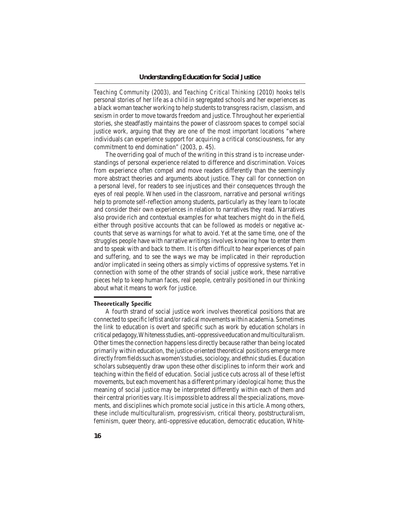*Teaching Community* (2003), and *Teaching Critical Thinking* (2010) hooks tells personal stories of her life as a child in segregated schools and her experiences as a black woman teacher working to help students to transgress racism, classism, and sexism in order to move towards freedom and justice. Throughout her experiential stories, she steadfastly maintains the power of classroom spaces to compel social justice work, arguing that they are one of the most important locations "where individuals can experience support for acquiring a critical consciousness, for any commitment to end domination" (2003, p. 45).

 The overriding goal of much of the writing in this strand is to increase understandings of personal experience related to difference and discrimination. Voices from experience often compel and move readers differently than the seemingly more abstract theories and arguments about justice. They call for connection on a personal level, for readers to see injustices and their consequences through the eyes of real people. When used in the classroom, narrative and personal writings help to promote self-reflection among students, particularly as they learn to locate and consider their own experiences in relation to narratives they read. Narratives also provide rich and contextual examples for what teachers might do in the field, either through positive accounts that can be followed as models or negative accounts that serve as warnings for what to avoid. Yet at the same time, one of the struggles people have with narrative writings involves knowing how to enter them and to speak with and back to them. It is often difficult to hear experiences of pain and suffering, and to see the ways we may be implicated in their reproduction and/or implicated in seeing others as simply victims of oppressive systems. Yet in connection with some of the other strands of social justice work, these narrative pieces help to keep human faces, real people, centrally positioned in our thinking about what it means to work for justice.

#### **Theoretically Specific**

A fourth strand of social justice work involves theoretical positions that are connected to specific leftist and/orradicalmovements within academia. Sometimes the link to education is overt and specific such as work by education scholars in criticalpedagogy,Whitenessstudies,anti-oppressiveeducationandmulticulturalism. Other times the connection happens less directly because rather than being located primarily within education, the justice-oriented theoretical positions emerge more directly from fields such as women's studies, sociology, and ethnic studies. Education scholars subsequently draw upon these other disciplines to inform their work and teaching within the field of education. Social justice cuts across all of these leftist movements, but each movement has a different primary ideological home; thus the meaning of social justice may be interpreted differently within each of them and their central priorities vary. It isimpossible to address all the specializations, movements, and disciplines which promote social justice in this article. Among others, these include multiculturalism, progressivism, critical theory, poststructuralism, feminism, queer theory, anti-oppressive education, democratic education, White-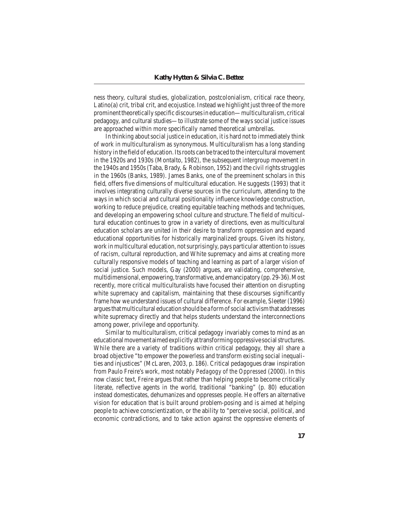ness theory, cultural studies, globalization, postcolonialism, critical race theory, Latino(a) crit, tribal crit, and ecojustice. Instead we highlight just three of the more prominenttheoretically specific discoursesin education—multiculturalism, critical pedagogy, and cultural studies—to illustrate some of the ways social justice issues are approached within more specifically named theoretical umbrellas.

In thinking about social justice in education, it is hard not to immediately think of work in multiculturalism as synonymous. Multiculturalism has a long standing history in the field of education. Its roots can be traced to the intercultural movement in the 1920s and 1930s (Montalto, 1982), the subsequent intergroup movement in the 1940s and 1950s (Taba, Brady,  $\&$  Robinson, 1952) and the civil rights struggles in the 1960s (Banks, 1989). James Banks, one of the preeminent scholars in this field, offers five dimensions of multicultural education. He suggests (1993) that it involves integrating culturally diverse sources in the curriculum, attending to the ways in which social and cultural positionality influence knowledge construction, working to reduce prejudice, creating equitable teaching methods and techniques, and developing an empowering school culture and structure. The field of multicultural education continues to grow in a variety of directions, even as multicultural education scholars are united in their desire to transform oppression and expand educational opportunities for historically marginalized groups. Given its history, work in multicultural education, not surprisingly, pays particular attention to issues of racism, cultural reproduction, and White supremacy and aims at creating more culturally responsive models of teaching and learning as part of a larger vision of social justice. Such models, Gay (2000) argues, are validating, comprehensive, multidimensional,empowering,transformative,andemancipatory(pp.29-36).Most recently, more critical multiculturalists have focused their attention on disrupting white supremacy and capitalism, maintaining that these discourses significantly frame how we understand issues of cultural difference. For example, Sleeter (1996) argues that multicultural education should be a form of social activism that addresses white supremacy directly and that helps students understand the interconnections among power, privilege and opportunity.

 Similar to multiculturalism, critical pedagogy invariably comes to mind as an educational movement aimed explicitly at transforming oppressive social structures. While there are a variety of traditions within critical pedagogy, they all share a broad objective "to empower the powerless and transform existing social inequalities and injustices" (McLaren, 2003, p. 186). Critical pedagogues draw inspiration from Paulo Freire's work, most notably *Pedagogy of the Oppressed* (2000). In this now classic text, Freire argues that rather than helping people to become critically literate, reflective agents in the world, traditional "banking" (p. 80) education instead domesticates, dehumanizes and oppresses people. He offers an alternative vision for education that is built around problem-posing and is aimed at helping people to achieve conscientization, or the ability to "perceive social, political, and economic contradictions, and to take action against the oppressive elements of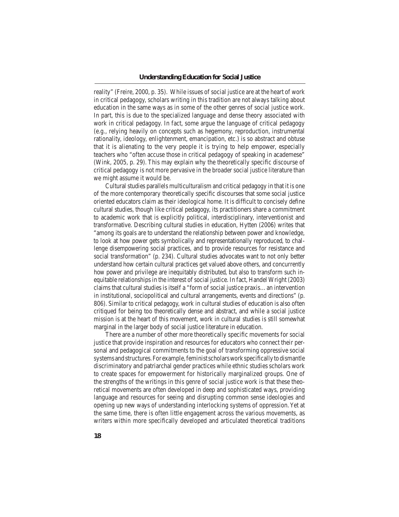reality" (Freire, 2000, p. 35). While issues of social justice are at the heart of work in critical pedagogy, scholars writing in this tradition are not always talking about education in the same ways as in some of the other genres of social justice work. In part, this is due to the specialized language and dense theory associated with work in critical pedagogy. In fact, some argue the language of critical pedagogy (e.g., relying heavily on concepts such as hegemony, reproduction, instrumental rationality, ideology, enlightenment, emancipation, etc.) is so abstract and obtuse that it is alienating to the very people it is trying to help empower, especially teachers who "often accuse those in critical pedagogy of speaking in academese" (Wink, 2005, p. 29). This may explain why the theoretically specific discourse of critical pedagogy is not more pervasive in the broader social justice literature than we might assume it would be.

Cultural studies parallels multiculturalism and critical pedagogy in that it is one of the more contemporary theoretically specific discourses that some social justice oriented educators claim as their ideological home. It is difficult to concisely define cultural studies, though like critical pedagogy, its practitioners share a commitment to academic work that is explicitly political, interdisciplinary, interventionist and transformative. Describing cultural studies in education, Hytten (2006) writes that "among its goals are to understand the relationship between power and knowledge, to look at how power gets symbolically and representationally reproduced, to challenge disempowering social practices, and to provide resources for resistance and social transformation" (p. 234). Cultural studies advocates want to not only better understand how certain cultural practices get valued above others, and concurrently how power and privilege are inequitably distributed, but also to transform such inequitable relationships in the interest of social justice. In fact, Handel Wright (2003) claims that cultural studies is itself a "form of social justice praxis…an intervention in institutional, sociopolitical and cultural arrangements, events and directions" (p. 806). Similar to critical pedagogy, work in cultural studies of education is also often critiqued for being too theoretically dense and abstract, and while a social justice mission is at the heart of this movement, work in cultural studies is still somewhat marginal in the larger body of social justice literature in education.

 There are a number of other more theoretically specific movements for social justice that provide inspiration and resources for educators who connect their personal and pedagogical commitments to the goal of transforming oppressive social systems and structures. For example, feminist scholars work specifically to dismantle discriminatory and patriarchal gender practices while ethnic studies scholars work to create spaces for empowerment for historically marginalized groups. One of the strengths of the writings in this genre of social justice work is that these theoretical movements are often developed in deep and sophisticated ways, providing language and resources for seeing and disrupting common sense ideologies and opening up new ways of understanding interlocking systems of oppression. Yet at the same time, there is often little engagement across the various movements, as writers within more specifically developed and articulated theoretical traditions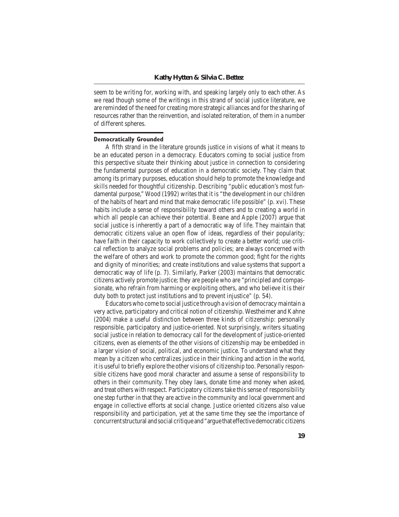seem to be writing for, working with, and speaking largely only to each other. As we read though some of the writings in this strand of social justice literature, we are reminded of the need for creating more strategic alliances and for the sharing of resources rather than the reinvention, and isolated reiteration, of them in a number of different spheres.

## **Democratically Grounded**

A fifth strand in the literature grounds justice in visions of what it means to be an educated person in a democracy. Educators coming to social justice from this perspective situate their thinking about justice in connection to considering the fundamental purposes of education in a democratic society. They claim that among its primary purposes, education should help to promote the knowledge and skills needed for thoughtful citizenship. Describing "public education's most fundamental purpose," Wood (1992) writes that it is "the development in our children of the habits of heart and mind that make democratic life possible" (p. xvi). These habits include a sense of responsibility toward others and to creating a world in which all people can achieve their potential. Beane and Apple (2007) argue that social justice is inherently a part of a democratic way of life. They maintain that democratic citizens value an open flow of ideas, regardless of their popularity; have faith in their capacity to work collectively to create a better world; use critical reflection to analyze social problems and policies; are always concerned with the welfare of others and work to promote the common good; fight for the rights and dignity of minorities; and create institutions and value systems that support a democratic way of life (p. 7). Similarly, Parker (2003) maintains that democratic citizens actively promote justice; they are people who are "principled and compassionate, who refrain from harming or exploiting others, and who believe it is their duty both to protect just institutions and to prevent injustice" (p. 54).

 Educators who come to social justice through a vision of democracymaintain a very active, participatory and critical notion of citizenship. Westheimer and Kahne (2004) make a useful distinction between three kinds of citizenship: personally responsible, participatory and justice-oriented. Not surprisingly, writers situating social justice in relation to democracy call for the development of justice-oriented citizens, even as elements of the other visions of citizenship may be embedded in a larger vision of social, political, and economic justice. To understand what they mean by a citizen who centralizes justice in their thinking and action in the world, it is useful to briefly explore the other visions of citizenship too. Personally responsible citizens have good moral character and assume a sense of responsibility to others in their community. They obey laws, donate time and money when asked, and treat others with respect. Participatory citizens take this sense of responsibility one step further in that they are active in the community and local government and engage in collective efforts at social change. Justice oriented citizens also value responsibility and participation, yet at the same time they see the importance of concurrentstructural andsocial critique and"argue that effectivedemocratic citizens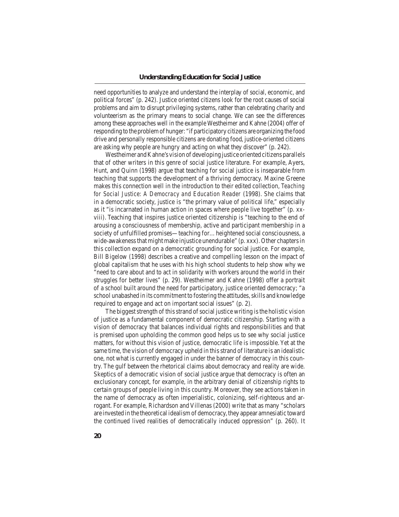need opportunities to analyze and understand the interplay of social, economic, and political forces" (p. 242). Justice oriented citizens look for the root causes of social problems and aim to disrupt privileging systems, rather than celebrating charity and volunteerism as the primary means to social change. We can see the differences among these approaches well in the example Westheimer and Kahne (2004) offer of responding to the problemof hunger: "if participatory citizens are organizing the food drive and personally responsible citizens are donating food, justice-oriented citizens are asking why people are hungry and acting on what they discover" (p. 242).

Westheimer and Kahne's vision of developing justice oriented citizens parallels that of other writers in this genre of social justice literature. For example, Ayers, Hunt, and Quinn (1998) argue that teaching for social justice is inseparable from teaching that supports the development of a thriving democracy. Maxine Greene makes this connection well in the introduction to their edited collection, *Teaching for Social Justice: A Democracy and Education Reader* (1998). She claims that in a democratic society, justice is "the primary value of political life," especially as it "is incarnated in human action in spaces where people live together" (p. xxviii). Teaching that inspires justice oriented citizenship is "teaching to the end of arousing a consciousness of membership, active and participant membership in a society of unfulfilled promises—teaching for...heightened social consciousness, a wide-awakeness that might make injustice unendurable" (p. xxx). Other chapters in this collection expand on a democratic grounding for social justice. For example, Bill Bigelow (1998) describes a creative and compelling lesson on the impact of global capitalism that he uses with his high school students to help show why we "need to care about and to act in solidarity with workers around the world in their struggles for better lives" (p. 29). Westheimer and Kahne (1998) offer a portrait of a school built around the need for participatory, justice oriented democracy; "a school unabashed in its commitment to fostering the attitudes, skills and knowledge required to engage and act on important social issues" (p. 2).

The biggest strength of this strand of social justice writing is the holistic vision of justice as a fundamental component of democratic citizenship. Starting with a vision of democracy that balances individual rights and responsibilities and that is premised upon upholding the common good helps us to see why social justice matters, for without this vision of justice, democratic life is impossible. Yet at the same time, the vision of democracy upheld in this strand of literature is an idealistic one, not what is currently engaged in under the banner of democracy in this country. The gulf between the rhetorical claims about democracy and reality are wide. Skeptics of a democratic vision of social justice argue that democracy is often an exclusionary concept, for example, in the arbitrary denial of citizenship rights to certain groups of people living in this country. Moreover, they see actions taken in the name of democracy as often imperialistic, colonizing, self-righteous and arrogant. For example, Richardson and Villenas (2000) write that as many "scholars are invested in the theoretical idealismof democracy, they appear amnesiatic toward the continued lived realities of democratically induced oppression" (p. 260). It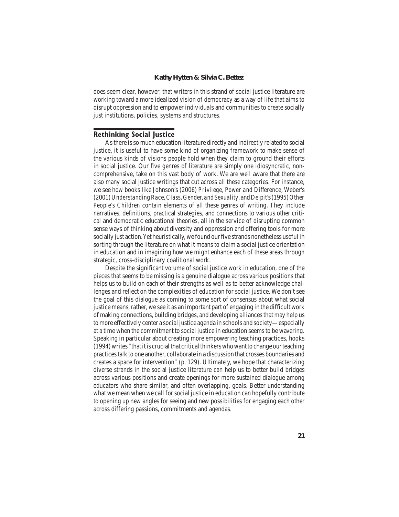does seem clear, however, that writers in this strand of social justice literature are working toward a more idealized vision of democracy as a way of life that aims to disrupt oppression and to empower individuals and communities to create socially just institutions, policies, systems and structures.

# **Rethinking Social Justice**

As there is so much education literature directly and indirectly related to social justice, it is useful to have some kind of organizing framework to make sense of the various kinds of visions people hold when they claim to ground their efforts in social justice. Our five genres of literature are simply one idiosyncratic, noncomprehensive, take on this vast body of work. We are well aware that there are also many social justice writings that cut across all these categories. For instance, we see how books like Johnson's (2006) *Privilege, Power and Difference*, Weber's (2001)*Understanding Race, Class, Gender, and Sexuality*, andDelpit's(1995)*Other People's Children* contain elements of all these genres of writing. They include narratives, definitions, practical strategies, and connections to various other critical and democratic educational theories, all in the service of disrupting common sense ways of thinking about diversity and oppression and offering tools for more socially just action.Yet heuristically, we found our five strands nonetheless useful in sorting through the literature on what it means to claim a social justice orientation in education and in imagining how we might enhance each of these areas through strategic, cross-disciplinary coalitional work.

 Despite the significant volume of social justice work in education, one of the pieces that seems to be missing is a genuine dialogue across various positions that helps us to build on each of their strengths as well as to better acknowledge challenges and reflect on the complexities of education for social justice. We don't see the goal of this dialogue as coming to some sort of consensus about what social justice means, rather, we see it as an important part of engaging in the difficult work of making connections, building bridges, and developing alliancesthat may help us tomore effectively center a social justice agenda in schools and society—especially at a time when the commitment to social justice in education seemsto be wavering. Speaking in particular about creating more empowering teaching practices, hooks (1994)writes "that itis crucialthat criticalthinkerswhowantto change ourteaching practicestalk to one another, collaborate in a discussion that crosses boundaries and creates a space for intervention" (p. 129). Ultimately, we hope that characterizing diverse strands in the social justice literature can help us to better build bridges across various positions and create openings for more sustained dialogue among educators who share similar, and often overlapping, goals. Better understanding what we mean when we call for social justice in education can hopefully contribute to opening up new angles for seeing and new possibilities for engaging each other across differing passions, commitments and agendas.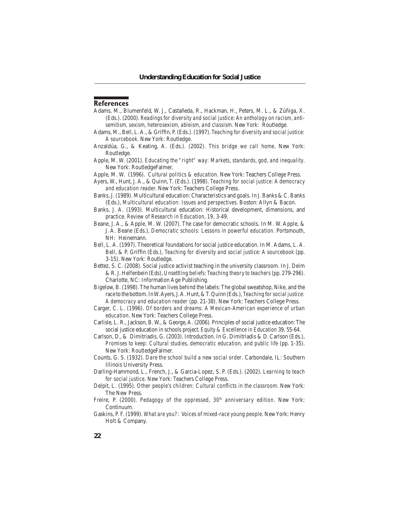# **References**

- Adams, M., Blumenfeld, W. J., Castañeda, R., Hackman, H., Peters, M. L., & Zúñiga, X. (Eds.). (2000). *Readings for diversity and social justice: An anthology on racism, antisemitism, sexism, heterosexism, ableism, and classism*. New York: Routledge.
- Adams, M., Bell, L.A., & Griffin, P. (Eds.). (1997). *Teaching for diversity and social justice: A sourcebook*. New York: Routledge.
- Anzaldúa, G., & Keating, A. (Eds.). (2002). *This bridge we call home*. New York: Routledge.
- Apple, M. W. (2001). *Educating the "right" way: Markets, standards, god, and inequality*. New York: RoutledgeFalmer.
- Apple, M. W. (1996). *Cultural politics & education.* New York: Teachers College Press.
- Ayers, W., Hunt, J. A., & Quinn, T. (Eds.). (1998). *Teaching for social justice: A democracy and education reader.* New York: Teachers College Press.
- Banks,J. (1989). Multicultural education: Characteristics and goals. In J. Banks & C. Banks (Eds.), *Multicultural education: Issues and perspectives*. Boston: Allyn & Bacon.
- Banks, J. A. (1993). Multicultural education: Historical development, dimensions, and practice. *Review of Research in Education, 19*, 3-49.
- Beane, J. A., & Apple, M. W. (2007). The case for democratic schools. In M. W. Apple, & J. A. Beane (Eds.), *Democratic schools: Lessons in powerful education*. Portsmouth, NH: Heinemann.
- Bell, L. A. (1997). Theoretical foundations for social justice education. In M. Adams, L. A. Bell, & P. Griffin (Eds.), *Teaching for diversity and social justice: A sourcebook* (pp. 3-15). New York: Routledge.
- Bettez, S. C. (2008). Social justice activist teaching in the university classroom. In J. Deim & R.J. Helfenbein (Eds), *Unsettling beliefs: Teaching theory to teachers*(pp. 279-296). Charlotte, NC: Information Age Publishing.
- Bigelow, B. (1998). The human lives behind the labels: The global sweatshop, Nike, and the race to the bottom.InW.Ayers,J.A.Hunt,&T.Quinn (Eds.), *Teaching for social justice: A democracy and education reader* (pp. 21-38). New York: Teachers College Press.
- Carger, C. L. (1996). *Of borders and dreams: A Mexican-American experience of urban education*. New York: Teachers College Press.
- Carlisle, L. R., Jackson, B. W., & George, A. (2006). Principles of social justice education: The social justice education in schools project. *Equity & Excellence in Education* 39, 55-64.
- Carlson, D., & Dimitriadis, G. (2003). Introduction. In G. Dimitriadis & D. Carlson (Eds.), *Promises to keep: Cultural studies, democratic education, and public life* (pp. 1-35). New York: RoutledgeFalmer.
- Counts, G. S. (1932). *Dare the school build a new social order*. Carbondale, IL: Southern Illinois University Press.
- Darling-Hammond, L., French, J., & Garcia-Lopez, S. P. (Eds.). (2002). *Learning to teach for social justice*. New York: Teachers College Press.
- Delpit, L. (1995). *Other people's children: Cultural conflicts in the classroom.* New York: The New Press.
- Freire, P. (2000). *Pedagogy of the oppressed, 30<sup>th</sup> anniversary edition*. New York: Continuum.
- Gaskins, P. F. (1999). *What are you?: Voices of mixed-race young people*. NewYork: Henry Holt & Company.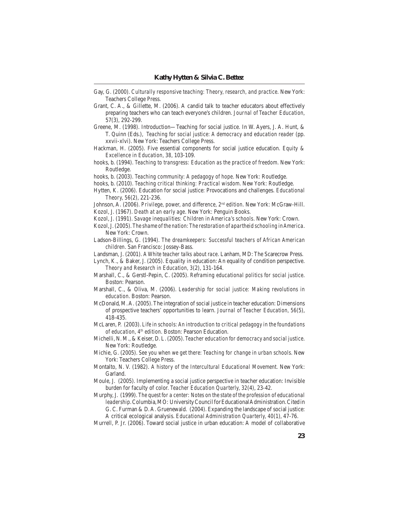- Gay, G. (2000). *Culturally responsive teaching: Theory, research, and practice*. New York: Teachers College Press.
- Grant, C. A., & Gillette, M. (2006). A candid talk to teacher educators about effectively preparing teachers who can teach everyone's children. *Journal of Teacher Education,* 57(3), 292-299.
- Greene, M. (1998). Introduction—Teaching for social justice. In W. Ayers, J. A. Hunt, & T. Quinn (Eds.), *Teaching for social justice: A democracy and education reader* (pp. xxvii-xlvi). New York: Teachers College Press.
- Hackman, H. (2005). Five essential components for social justice education. *Equity & Excellence in Education, 38*, 103-109.
- hooks, b. (1994). *Teaching to transgress: Education as the practice of freedom*. New York: Routledge.

hooks, b. (2003). *Teaching community: A pedagogy of hope*. New York: Routledge.

- hooks, b. (2010). *Teaching critical thinking: Practical wisdom*. New York: Routledge.
- Hytten, K. (2006). Education for social justice: Provocations and challenges. *Educational Theory, 56*(2), 221-236.
- Johnson, A. (2006). *Privilege, power, and difference, 2nd edition*. New York: McGraw-Hill.
- Kozol, J. (1967). *Death at an early age*. New York: Penguin Books.
- Kozol, J. (1991). *Savage inequalities: Children in America's schools*. New York: Crown.
- Kozol,J.(2005). *The shame of the nation: The restoration of apartheid schooling in America*. New York: Crown.
- Ladson-Billings, G. (1994). *The dreamkeepers: Successful teachers of African American children*. San Francisco: Jossey-Bass.
- Landsman, J. (2001). *A White teacher talks about race*. Lanham, MD: The Scarecrow Press.

Lynch, K., & Baker, J. (2005). Equality in education: An equality of condition perspective. *Theory and Research in Education, 3*(2), 131-164.

- Marshall, C., & Gerstl-Pepin, C. (2005). *Reframing educational politics for social justice*. Boston: Pearson.
- Marshall, C., & Oliva, M. (2006). *Leadership for social justice: Making revolutions in education*. Boston: Pearson.
- McDonald, M. A. (2005). The integration of social justice in teacher education: Dimensions of prospective teachers' opportunities to learn. *Journal of Teacher Education, 56*(5), 418-435.
- McLaren, P. (2003). *Life in schools: An introduction to critical pedagogy in the foundations of education, 4th edition*. Boston: Pearson Education.
- Michelli, N. M., & Keiser, D. L. (2005). *Teacher education for democracy and social justice*. New York: Routledge.
- Michie, G. (2005). *See you when we get there: Teaching for change in urban schools*. New York: Teachers College Press.
- Montalto, N. V. (1982). *A history of the Intercultural Educational Movement.* New York: Garland.
- Moule, J. (2005). Implementing a social justice perspective in teacher education: Invisible burden for faculty of color. *Teacher Education Quarterly, 32*(4), 23-42.
- Murphy,J. (1999). *The quest for a center: Notes on the state of the profession of educational leadership*.Columbia,MO: UniversityCouncilforEducationalAdministration.Citedin G. C. Furman & D. A. Gruenewald. (2004). Expanding the landscape of social justice: A critical ecological analysis. *Educational Administration Quarterly, 40*(1), 47-76.
- Murrell, P. Jr. (2006). Toward social justice in urban education: A model of collaborative